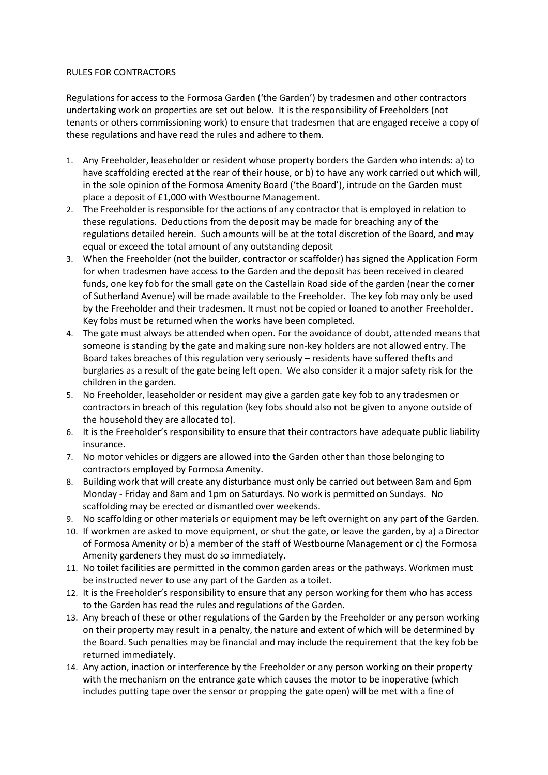## RULES FOR CONTRACTORS

Regulations for access to the Formosa Garden ('the Garden') by tradesmen and other contractors undertaking work on properties are set out below. It is the responsibility of Freeholders (not tenants or others commissioning work) to ensure that tradesmen that are engaged receive a copy of these regulations and have read the rules and adhere to them.

- 1. Any Freeholder, leaseholder or resident whose property borders the Garden who intends: a) to have scaffolding erected at the rear of their house, or b) to have any work carried out which will, in the sole opinion of the Formosa Amenity Board ('the Board'), intrude on the Garden must place a deposit of £1,000 with Westbourne Management.
- 2. The Freeholder is responsible for the actions of any contractor that is employed in relation to these regulations. Deductions from the deposit may be made for breaching any of the regulations detailed herein. Such amounts will be at the total discretion of the Board, and may equal or exceed the total amount of any outstanding deposit
- 3. When the Freeholder (not the builder, contractor or scaffolder) has signed the Application Form for when tradesmen have access to the Garden and the deposit has been received in cleared funds, one key fob for the small gate on the Castellain Road side of the garden (near the corner of Sutherland Avenue) will be made available to the Freeholder. The key fob may only be used by the Freeholder and their tradesmen. It must not be copied or loaned to another Freeholder. Key fobs must be returned when the works have been completed.
- 4. The gate must always be attended when open. For the avoidance of doubt, attended means that someone is standing by the gate and making sure non-key holders are not allowed entry. The Board takes breaches of this regulation very seriously – residents have suffered thefts and burglaries as a result of the gate being left open. We also consider it a major safety risk for the children in the garden.
- 5. No Freeholder, leaseholder or resident may give a garden gate key fob to any tradesmen or contractors in breach of this regulation (key fobs should also not be given to anyone outside of the household they are allocated to).
- 6. It is the Freeholder's responsibility to ensure that their contractors have adequate public liability insurance.
- 7. No motor vehicles or diggers are allowed into the Garden other than those belonging to contractors employed by Formosa Amenity.
- 8. Building work that will create any disturbance must only be carried out between 8am and 6pm Monday - Friday and 8am and 1pm on Saturdays. No work is permitted on Sundays. No scaffolding may be erected or dismantled over weekends.
- 9. No scaffolding or other materials or equipment may be left overnight on any part of the Garden.
- 10. If workmen are asked to move equipment, or shut the gate, or leave the garden, by a) a Director of Formosa Amenity or b) a member of the staff of Westbourne Management or c) the Formosa Amenity gardeners they must do so immediately.
- 11. No toilet facilities are permitted in the common garden areas or the pathways. Workmen must be instructed never to use any part of the Garden as a toilet.
- 12. It is the Freeholder's responsibility to ensure that any person working for them who has access to the Garden has read the rules and regulations of the Garden.
- 13. Any breach of these or other regulations of the Garden by the Freeholder or any person working on their property may result in a penalty, the nature and extent of which will be determined by the Board. Such penalties may be financial and may include the requirement that the key fob be returned immediately.
- 14. Any action, inaction or interference by the Freeholder or any person working on their property with the mechanism on the entrance gate which causes the motor to be inoperative (which includes putting tape over the sensor or propping the gate open) will be met with a fine of